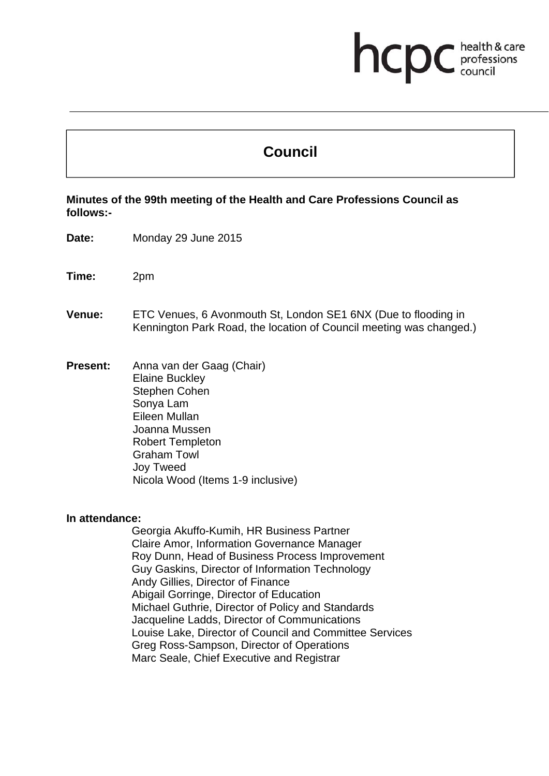# **Council**

**health & card** 

health & care

## **Minutes of the 99th meeting of the Health and Care Professions Council as follows:-**

- **Date:** Monday 29 June 2015
- **Time:** 2pm
- **Venue:** ETC Venues, 6 Avonmouth St, London SE1 6NX (Due to flooding in Kennington Park Road, the location of Council meeting was changed.)
- **Present:** Anna van der Gaag (Chair) Elaine Buckley Stephen Cohen Sonya Lam Eileen Mullan Joanna Mussen Robert Templeton Graham Towl Joy Tweed Nicola Wood (Items 1-9 inclusive)

#### **In attendance:**

Georgia Akuffo-Kumih, HR Business Partner Claire Amor, Information Governance Manager Roy Dunn, Head of Business Process Improvement Guy Gaskins, Director of Information Technology Andy Gillies, Director of Finance Abigail Gorringe, Director of Education Michael Guthrie, Director of Policy and Standards Jacqueline Ladds, Director of Communications Louise Lake, Director of Council and Committee Services Greg Ross-Sampson, Director of Operations Marc Seale, Chief Executive and Registrar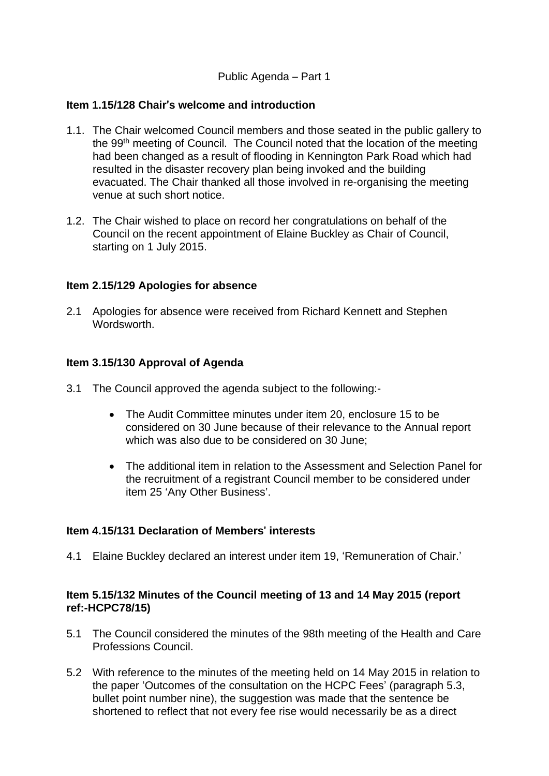## Public Agenda – Part 1

## **Item 1.15/128 Chair**'**s welcome and introduction**

- 1.1. The Chair welcomed Council members and those seated in the public gallery to the 99th meeting of Council. The Council noted that the location of the meeting had been changed as a result of flooding in Kennington Park Road which had resulted in the disaster recovery plan being invoked and the building evacuated. The Chair thanked all those involved in re-organising the meeting venue at such short notice.
- 1.2. The Chair wished to place on record her congratulations on behalf of the Council on the recent appointment of Elaine Buckley as Chair of Council, starting on 1 July 2015.

## **Item 2.15/129 Apologies for absence**

2.1 Apologies for absence were received from Richard Kennett and Stephen Wordsworth.

## **Item 3.15/130 Approval of Agenda**

- 3.1 The Council approved the agenda subject to the following:-
	- The Audit Committee minutes under item 20, enclosure 15 to be considered on 30 June because of their relevance to the Annual report which was also due to be considered on 30 June;
	- The additional item in relation to the Assessment and Selection Panel for the recruitment of a registrant Council member to be considered under item 25 'Any Other Business'.

## **Item 4.15/131 Declaration of Members**' **interests**

4.1 Elaine Buckley declared an interest under item 19, 'Remuneration of Chair.'

## **Item 5.15/132 Minutes of the Council meeting of 13 and 14 May 2015 (report ref:-HCPC78/15)**

- 5.1 The Council considered the minutes of the 98th meeting of the Health and Care Professions Council.
- 5.2 With reference to the minutes of the meeting held on 14 May 2015 in relation to the paper 'Outcomes of the consultation on the HCPC Fees' (paragraph 5.3, bullet point number nine), the suggestion was made that the sentence be shortened to reflect that not every fee rise would necessarily be as a direct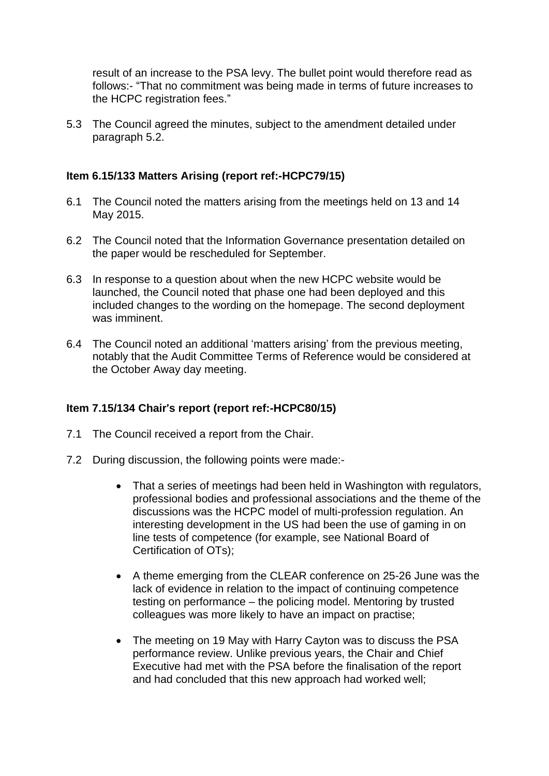result of an increase to the PSA levy. The bullet point would therefore read as follows:- "That no commitment was being made in terms of future increases to the HCPC registration fees."

5.3 The Council agreed the minutes, subject to the amendment detailed under paragraph 5.2.

## **Item 6.15/133 Matters Arising (report ref:-HCPC79/15)**

- 6.1 The Council noted the matters arising from the meetings held on 13 and 14 May 2015.
- 6.2 The Council noted that the Information Governance presentation detailed on the paper would be rescheduled for September.
- 6.3 In response to a question about when the new HCPC website would be launched, the Council noted that phase one had been deployed and this included changes to the wording on the homepage. The second deployment was imminent.
- 6.4 The Council noted an additional 'matters arising' from the previous meeting, notably that the Audit Committee Terms of Reference would be considered at the October Away day meeting.

## **Item 7.15/134 Chair**'**s report (report ref:-HCPC80/15)**

- 7.1 The Council received a report from the Chair.
- 7.2 During discussion, the following points were made:-
	- That a series of meetings had been held in Washington with regulators, professional bodies and professional associations and the theme of the discussions was the HCPC model of multi-profession regulation. An interesting development in the US had been the use of gaming in on line tests of competence (for example, see National Board of Certification of OTs);
	- A theme emerging from the CLEAR conference on 25-26 June was the lack of evidence in relation to the impact of continuing competence testing on performance – the policing model. Mentoring by trusted colleagues was more likely to have an impact on practise;
	- The meeting on 19 May with Harry Cayton was to discuss the PSA performance review. Unlike previous years, the Chair and Chief Executive had met with the PSA before the finalisation of the report and had concluded that this new approach had worked well;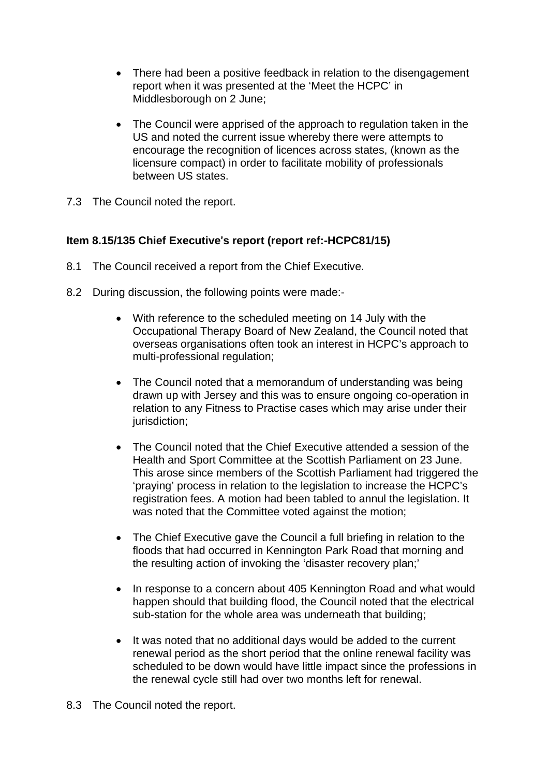- There had been a positive feedback in relation to the disengagement report when it was presented at the 'Meet the HCPC' in Middlesborough on 2 June;
- The Council were apprised of the approach to regulation taken in the US and noted the current issue whereby there were attempts to encourage the recognition of licences across states, (known as the licensure compact) in order to facilitate mobility of professionals between US states.
- 7.3 The Council noted the report.

## **Item 8.15/135 Chief Executive**'**s report (report ref:-HCPC81/15)**

- 8.1 The Council received a report from the Chief Executive.
- 8.2 During discussion, the following points were made:-
	- With reference to the scheduled meeting on 14 July with the Occupational Therapy Board of New Zealand, the Council noted that overseas organisations often took an interest in HCPC's approach to multi-professional regulation;
	- The Council noted that a memorandum of understanding was being drawn up with Jersey and this was to ensure ongoing co-operation in relation to any Fitness to Practise cases which may arise under their jurisdiction:
	- The Council noted that the Chief Executive attended a session of the Health and Sport Committee at the Scottish Parliament on 23 June. This arose since members of the Scottish Parliament had triggered the 'praying' process in relation to the legislation to increase the HCPC's registration fees. A motion had been tabled to annul the legislation. It was noted that the Committee voted against the motion;
	- The Chief Executive gave the Council a full briefing in relation to the floods that had occurred in Kennington Park Road that morning and the resulting action of invoking the 'disaster recovery plan;'
	- In response to a concern about 405 Kennington Road and what would happen should that building flood, the Council noted that the electrical sub-station for the whole area was underneath that building;
	- It was noted that no additional days would be added to the current renewal period as the short period that the online renewal facility was scheduled to be down would have little impact since the professions in the renewal cycle still had over two months left for renewal.
- 8.3 The Council noted the report.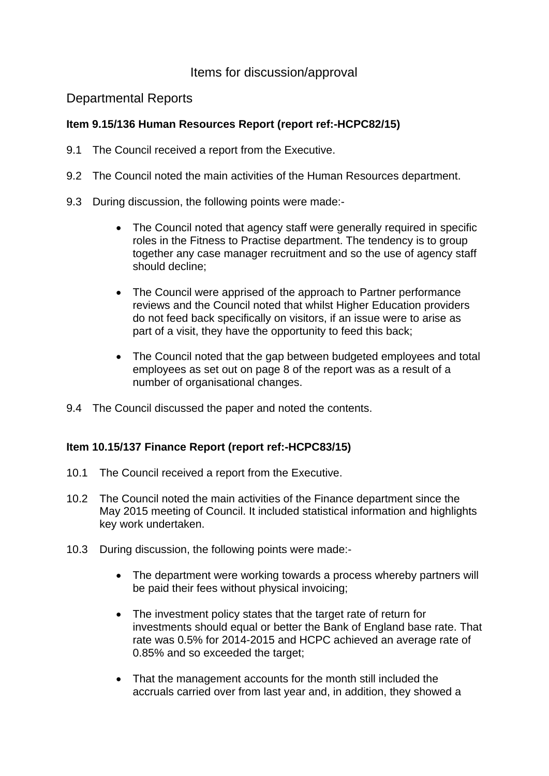# Items for discussion/approval

## Departmental Reports

## **Item 9.15/136 Human Resources Report (report ref:-HCPC82/15)**

- 9.1 The Council received a report from the Executive.
- 9.2 The Council noted the main activities of the Human Resources department.
- 9.3 During discussion, the following points were made:-
	- The Council noted that agency staff were generally required in specific roles in the Fitness to Practise department. The tendency is to group together any case manager recruitment and so the use of agency staff should decline;
	- The Council were apprised of the approach to Partner performance reviews and the Council noted that whilst Higher Education providers do not feed back specifically on visitors, if an issue were to arise as part of a visit, they have the opportunity to feed this back;
	- The Council noted that the gap between budgeted employees and total employees as set out on page 8 of the report was as a result of a number of organisational changes.
- 9.4 The Council discussed the paper and noted the contents.

## **Item 10.15/137 Finance Report (report ref:-HCPC83/15)**

- 10.1 The Council received a report from the Executive.
- 10.2 The Council noted the main activities of the Finance department since the May 2015 meeting of Council. It included statistical information and highlights key work undertaken.
- 10.3 During discussion, the following points were made:-
	- The department were working towards a process whereby partners will be paid their fees without physical invoicing;
	- The investment policy states that the target rate of return for investments should equal or better the Bank of England base rate. That rate was 0.5% for 2014-2015 and HCPC achieved an average rate of 0.85% and so exceeded the target;
	- That the management accounts for the month still included the accruals carried over from last year and, in addition, they showed a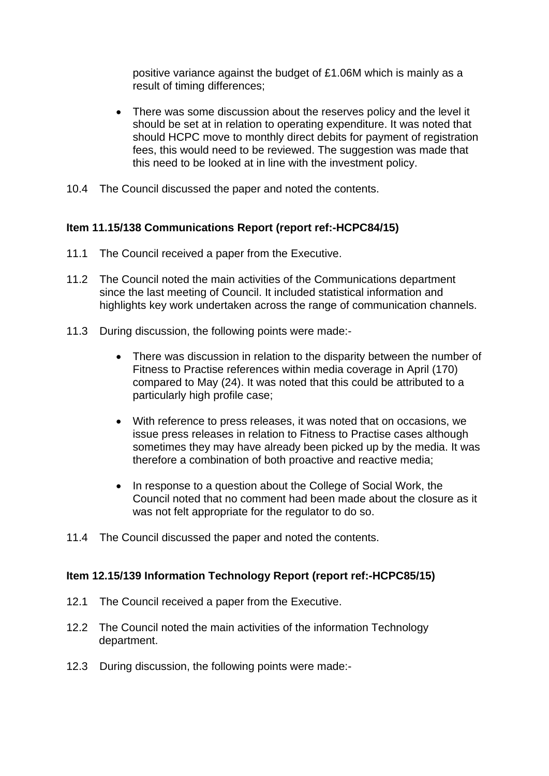positive variance against the budget of £1.06M which is mainly as a result of timing differences;

- There was some discussion about the reserves policy and the level it should be set at in relation to operating expenditure. It was noted that should HCPC move to monthly direct debits for payment of registration fees, this would need to be reviewed. The suggestion was made that this need to be looked at in line with the investment policy.
- 10.4 The Council discussed the paper and noted the contents.

## **Item 11.15/138 Communications Report (report ref:-HCPC84/15)**

- 11.1 The Council received a paper from the Executive.
- 11.2 The Council noted the main activities of the Communications department since the last meeting of Council. It included statistical information and highlights key work undertaken across the range of communication channels.
- 11.3 During discussion, the following points were made:-
	- There was discussion in relation to the disparity between the number of Fitness to Practise references within media coverage in April (170) compared to May (24). It was noted that this could be attributed to a particularly high profile case;
	- With reference to press releases, it was noted that on occasions, we issue press releases in relation to Fitness to Practise cases although sometimes they may have already been picked up by the media. It was therefore a combination of both proactive and reactive media;
	- In response to a question about the College of Social Work, the Council noted that no comment had been made about the closure as it was not felt appropriate for the regulator to do so.
- 11.4 The Council discussed the paper and noted the contents.

## **Item 12.15/139 Information Technology Report (report ref:-HCPC85/15)**

- 12.1 The Council received a paper from the Executive.
- 12.2 The Council noted the main activities of the information Technology department.
- 12.3 During discussion, the following points were made:-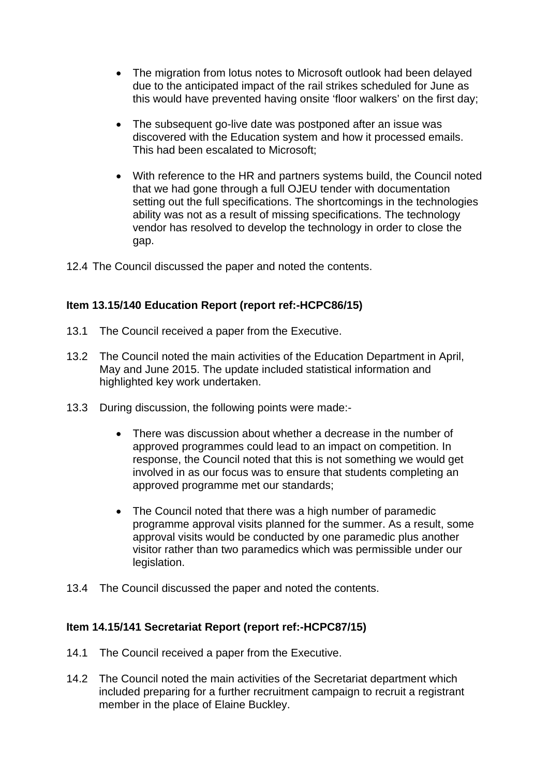- The migration from lotus notes to Microsoft outlook had been delayed due to the anticipated impact of the rail strikes scheduled for June as this would have prevented having onsite 'floor walkers' on the first day;
- The subsequent go-live date was postponed after an issue was discovered with the Education system and how it processed emails. This had been escalated to Microsoft;
- With reference to the HR and partners systems build, the Council noted that we had gone through a full OJEU tender with documentation setting out the full specifications. The shortcomings in the technologies ability was not as a result of missing specifications. The technology vendor has resolved to develop the technology in order to close the gap.
- 12.4 The Council discussed the paper and noted the contents.

## **Item 13.15/140 Education Report (report ref:-HCPC86/15)**

- 13.1 The Council received a paper from the Executive.
- 13.2 The Council noted the main activities of the Education Department in April, May and June 2015. The update included statistical information and highlighted key work undertaken.
- 13.3 During discussion, the following points were made:-
	- There was discussion about whether a decrease in the number of approved programmes could lead to an impact on competition. In response, the Council noted that this is not something we would get involved in as our focus was to ensure that students completing an approved programme met our standards;
	- The Council noted that there was a high number of paramedic programme approval visits planned for the summer. As a result, some approval visits would be conducted by one paramedic plus another visitor rather than two paramedics which was permissible under our legislation.
- 13.4 The Council discussed the paper and noted the contents.

## **Item 14.15/141 Secretariat Report (report ref:-HCPC87/15)**

- 14.1 The Council received a paper from the Executive.
- 14.2 The Council noted the main activities of the Secretariat department which included preparing for a further recruitment campaign to recruit a registrant member in the place of Elaine Buckley.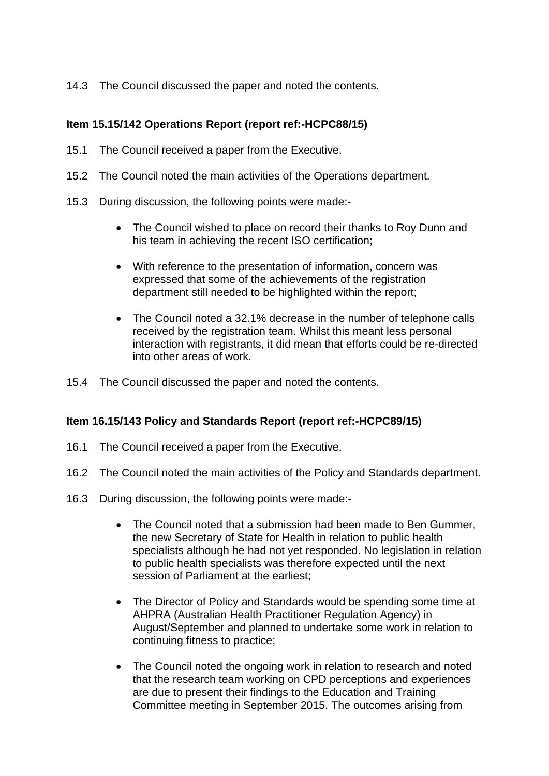14.3 The Council discussed the paper and noted the contents.

## **Item 15.15/142 Operations Report (report ref:-HCPC88/15)**

- 15.1 The Council received a paper from the Executive.
- 15.2 The Council noted the main activities of the Operations department.
- 15.3 During discussion, the following points were made:-
	- The Council wished to place on record their thanks to Roy Dunn and his team in achieving the recent ISO certification;
	- With reference to the presentation of information, concern was expressed that some of the achievements of the registration department still needed to be highlighted within the report;
	- The Council noted a 32.1% decrease in the number of telephone calls received by the registration team. Whilst this meant less personal interaction with registrants, it did mean that efforts could be re-directed into other areas of work.
- 15.4 The Council discussed the paper and noted the contents.

## **Item 16.15/143 Policy and Standards Report (report ref:-HCPC89/15)**

- 16.1 The Council received a paper from the Executive.
- 16.2 The Council noted the main activities of the Policy and Standards department.
- 16.3 During discussion, the following points were made:-
	- The Council noted that a submission had been made to Ben Gummer, the new Secretary of State for Health in relation to public health specialists although he had not yet responded. No legislation in relation to public health specialists was therefore expected until the next session of Parliament at the earliest;
	- The Director of Policy and Standards would be spending some time at AHPRA (Australian Health Practitioner Regulation Agency) in August/September and planned to undertake some work in relation to continuing fitness to practice;
	- The Council noted the ongoing work in relation to research and noted that the research team working on CPD perceptions and experiences are due to present their findings to the Education and Training Committee meeting in September 2015. The outcomes arising from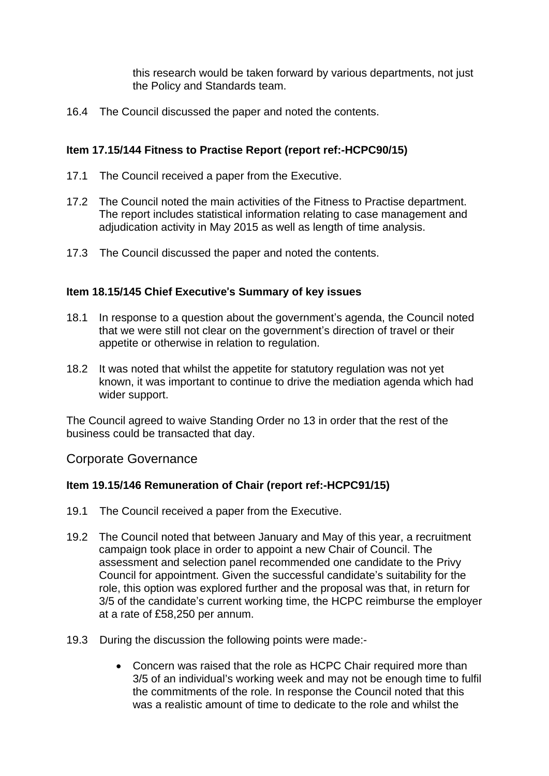this research would be taken forward by various departments, not just the Policy and Standards team.

16.4 The Council discussed the paper and noted the contents.

## **Item 17.15/144 Fitness to Practise Report (report ref:-HCPC90/15)**

- 17.1 The Council received a paper from the Executive.
- 17.2 The Council noted the main activities of the Fitness to Practise department. The report includes statistical information relating to case management and adjudication activity in May 2015 as well as length of time analysis.
- 17.3 The Council discussed the paper and noted the contents.

## **Item 18.15/145 Chief Executive**'**s Summary of key issues**

- 18.1 In response to a question about the government's agenda, the Council noted that we were still not clear on the government's direction of travel or their appetite or otherwise in relation to regulation.
- 18.2 It was noted that whilst the appetite for statutory regulation was not yet known, it was important to continue to drive the mediation agenda which had wider support.

The Council agreed to waive Standing Order no 13 in order that the rest of the business could be transacted that day.

## Corporate Governance

## **Item 19.15/146 Remuneration of Chair (report ref:-HCPC91/15)**

- 19.1 The Council received a paper from the Executive.
- 19.2 The Council noted that between January and May of this year, a recruitment campaign took place in order to appoint a new Chair of Council. The assessment and selection panel recommended one candidate to the Privy Council for appointment. Given the successful candidate's suitability for the role, this option was explored further and the proposal was that, in return for 3/5 of the candidate's current working time, the HCPC reimburse the employer at a rate of £58,250 per annum.
- 19.3 During the discussion the following points were made:-
	- Concern was raised that the role as HCPC Chair required more than 3/5 of an individual's working week and may not be enough time to fulfil the commitments of the role. In response the Council noted that this was a realistic amount of time to dedicate to the role and whilst the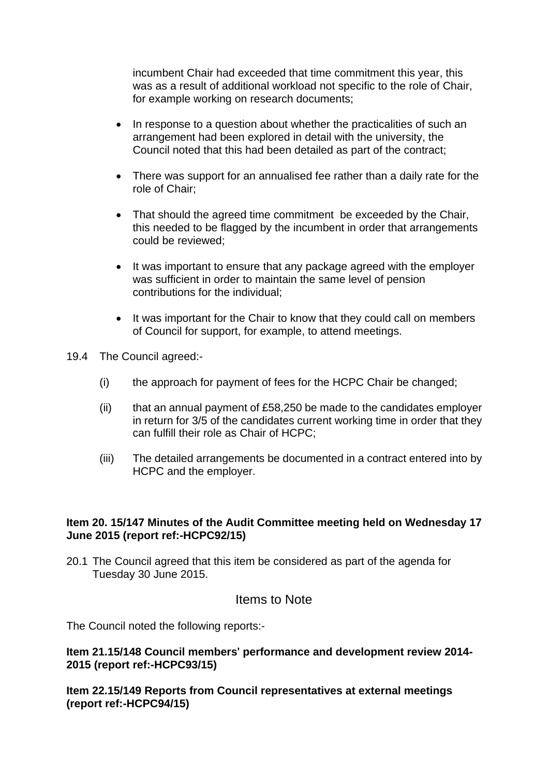incumbent Chair had exceeded that time commitment this year, this was as a result of additional workload not specific to the role of Chair, for example working on research documents;

- In response to a question about whether the practicalities of such an arrangement had been explored in detail with the university, the Council noted that this had been detailed as part of the contract;
- There was support for an annualised fee rather than a daily rate for the role of Chair;
- That should the agreed time commitment be exceeded by the Chair, this needed to be flagged by the incumbent in order that arrangements could be reviewed;
- It was important to ensure that any package agreed with the employer was sufficient in order to maintain the same level of pension contributions for the individual;
- It was important for the Chair to know that they could call on members of Council for support, for example, to attend meetings.
- 19.4 The Council agreed:-
	- (i) the approach for payment of fees for the HCPC Chair be changed;
	- (ii) that an annual payment of  $£58,250$  be made to the candidates employer in return for 3/5 of the candidates current working time in order that they can fulfill their role as Chair of HCPC;
	- (iii) The detailed arrangements be documented in a contract entered into by HCPC and the employer.

## **Item 20. 15/147 Minutes of the Audit Committee meeting held on Wednesday 17 June 2015 (report ref:-HCPC92/15)**

20.1 The Council agreed that this item be considered as part of the agenda for Tuesday 30 June 2015.

## Items to Note

The Council noted the following reports:-

#### **Item 21.15/148 Council members**' **performance and development review 2014- 2015 (report ref:-HCPC93/15)**

**Item 22.15/149 Reports from Council representatives at external meetings (report ref:-HCPC94/15)**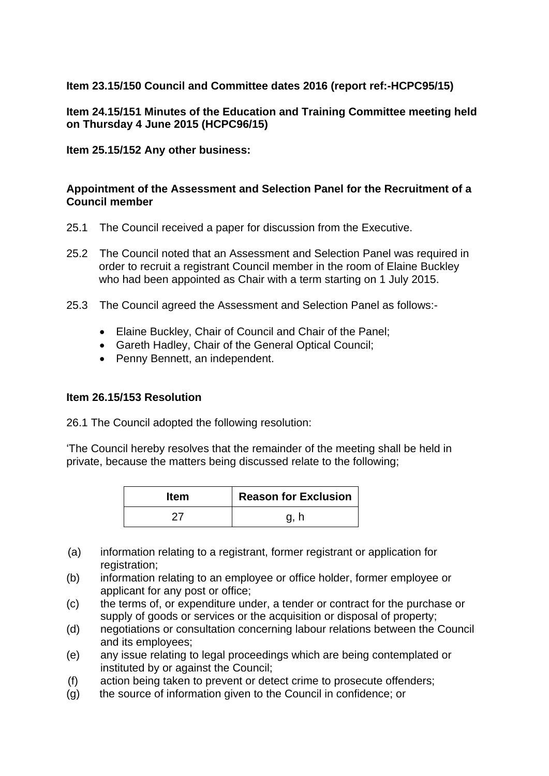## **Item 23.15/150 Council and Committee dates 2016 (report ref:-HCPC95/15)**

## **Item 24.15/151 Minutes of the Education and Training Committee meeting held on Thursday 4 June 2015 (HCPC96/15)**

**Item 25.15/152 Any other business:** 

## **Appointment of the Assessment and Selection Panel for the Recruitment of a Council member**

- 25.1 The Council received a paper for discussion from the Executive.
- 25.2 The Council noted that an Assessment and Selection Panel was required in order to recruit a registrant Council member in the room of Elaine Buckley who had been appointed as Chair with a term starting on 1 July 2015.
- 25.3 The Council agreed the Assessment and Selection Panel as follows:-
	- Elaine Buckley, Chair of Council and Chair of the Panel;
	- Gareth Hadley, Chair of the General Optical Council;
	- Penny Bennett, an independent.

## **Item 26.15/153 Resolution**

26.1 The Council adopted the following resolution:

'The Council hereby resolves that the remainder of the meeting shall be held in private, because the matters being discussed relate to the following;

| <b>Item</b> | <b>Reason for Exclusion</b> |
|-------------|-----------------------------|
|             |                             |

- (a) information relating to a registrant, former registrant or application for registration;
- (b) information relating to an employee or office holder, former employee or applicant for any post or office;
- (c) the terms of, or expenditure under, a tender or contract for the purchase or supply of goods or services or the acquisition or disposal of property;
- (d) negotiations or consultation concerning labour relations between the Council and its employees;
- (e) any issue relating to legal proceedings which are being contemplated or instituted by or against the Council;
- (f) action being taken to prevent or detect crime to prosecute offenders;
- (g) the source of information given to the Council in confidence; or